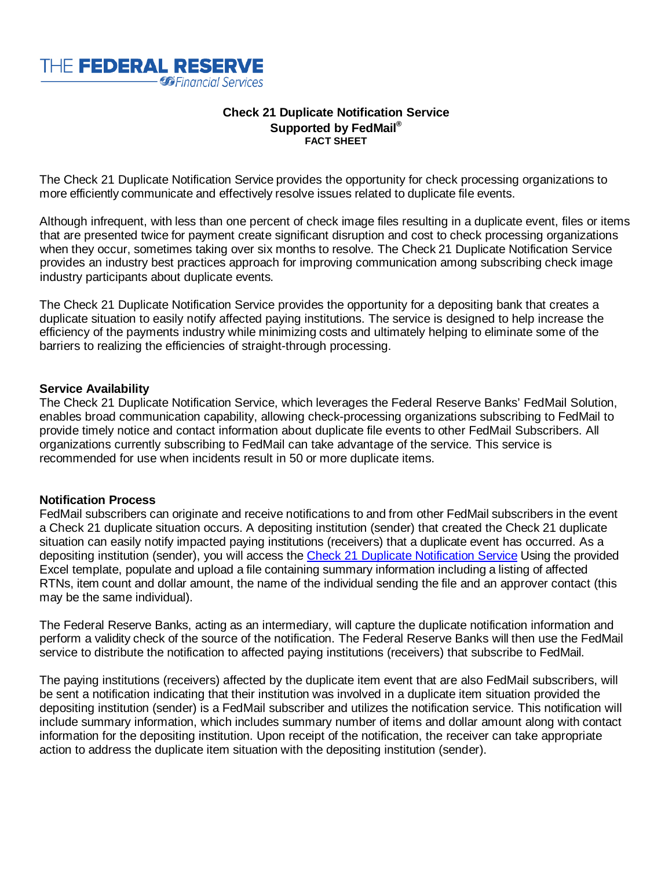

### **Check 21 Duplicate Notification Service Supported by FedMail® FACT SHEET**

The Check 21 Duplicate Notification Service provides the opportunity for check processing organizations to more efficiently communicate and effectively resolve issues related to duplicate file events.

Although infrequent, with less than one percent of check image files resulting in a duplicate event, files or items that are presented twice for payment create significant disruption and cost to check processing organizations when they occur, sometimes taking over six months to resolve. The Check 21 Duplicate Notification Service provides an industry best practices approach for improving communication among subscribing check image industry participants about duplicate events.

The Check 21 Duplicate Notification Service provides the opportunity for a depositing bank that creates a duplicate situation to easily notify affected paying institutions. The service is designed to help increase the efficiency of the payments industry while minimizing costs and ultimately helping to eliminate some of the barriers to realizing the efficiencies of straight-through processing.

#### **Service Availability**

The Check 21 Duplicate Notification Service, which leverages the Federal Reserve Banks' FedMail Solution, enables broad communication capability, allowing check-processing organizations subscribing to FedMail to provide timely notice and contact information about duplicate file events to other FedMail Subscribers. All organizations currently subscribing to FedMail can take advantage of the service. This service is recommended for use when incidents result in 50 or more duplicate items.

#### **Notification Process**

FedMail subscribers can originate and receive notifications to and from other FedMail subscribers in the event a Check 21 duplicate situation occurs. A depositing institution (sender) that created the Check 21 duplicate situation can easily notify impacted paying institutions (receivers) that a duplicate event has occurred. As a depositing institution (sender), you will access the [Check 21 Duplicate Notification Service](https://www.frbservices.org/app/duplicatecheck/request/DuplicateRequest.action) Using the provided Excel template, populate and upload a file containing summary information including a listing of affected RTNs, item count and dollar amount, the name of the individual sending the file and an approver contact (this may be the same individual).

The Federal Reserve Banks, acting as an intermediary, will capture the duplicate notification information and perform a validity check of the source of the notification. The Federal Reserve Banks will then use the FedMail service to distribute the notification to affected paying institutions (receivers) that subscribe to FedMail.

The paying institutions (receivers) affected by the duplicate item event that are also FedMail subscribers, will be sent a notification indicating that their institution was involved in a duplicate item situation provided the depositing institution (sender) is a FedMail subscriber and utilizes the notification service. This notification will include summary information, which includes summary number of items and dollar amount along with contact information for the depositing institution. Upon receipt of the notification, the receiver can take appropriate action to address the duplicate item situation with the depositing institution (sender).